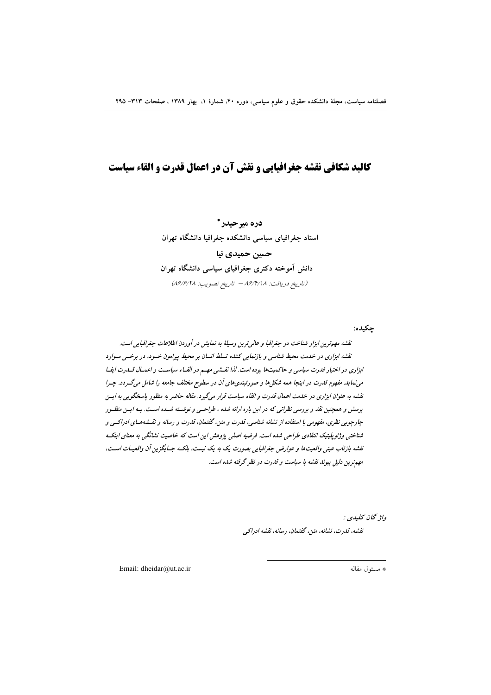# كالبد شكافي نقشه جغرافيايي و نقش آن در اعمال قدرت و القاء سياست

دره میرحیدر \* استاد جغرافیای سیاسی دانشکده جغرافیا دانشگاه تهران حسین حمیدی نیا دانش آموخته دکتری جغرافیای سیاسی دانشگاه تهران (تاريخ دريافت: ٨۶/١٢/١٨ - تاريخ تصويب: ٨۶/١٩/١٨)

چکيده:

نقشه مهمترین ابزار شناخت در جغرافیا و عالی ترین وسیلهٔ به نمایش در آوردن اطلاعات جغرافیایی است. نقشه ابزاری در خدمت محیط شناسی و بازنمایی کننده تسلط انسان بر محیط پیرامون خسود، در برخسی مسوارد ابزاری در اختیار قدرت سیاسی و حاکمیت ها بوده است. لذا نقسشی مهسم در القساء سیاست و اعمسال قسدرت ایفسا می نماید. مفهوم قدرت در اینجا همه شکلها و صورتبندی های آن در سطوح مختلف جامعه را شامل میگــردد. چــرا نقشه به عنوان ابزاری در خدمت اعمال قدرت و القاء سیاست قرار می گیرد. مقاله حاضر به منظور یاسخگویی به ایسن پرسش و همچنین نقد و بررسی نظراتی که در این باره ارائه شده ، طراحـی و نوشــته شــده اســت. بـه ایــن منظــور جارچویی نظری، مفهومی با استفاده از نشانه شناسی، قدرت و متن، گفتمان، قدرت و رسانه و نقـشههـای ادراکـی و شناختی وژئوپلیتیک انتقادی طراحی شده است. فرضیه اصلی پژوهش این است که خاصیت نشانگی به معنای اینک نقشه بازتاب عینی واقعیتها و عوارض جغرافیایی بصورت یک به یک نیست، بلکـه جـایگزین آن واقعیـات اسـت، مهم ترین دلیل پیوند نقشه با سیاست و قدرت در نظر گرفته شده است.

> واژ گان کليدي : نقشه، قدرت، نشانه، متین، گفتهان، رسانه، نقشه ادراکبی

Email: dheidar@ut.ac.ir

\* مسئول مقاله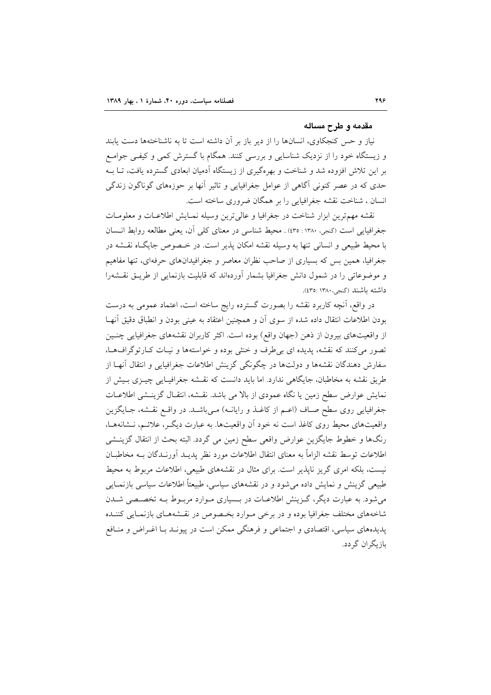#### مقدمه و طرح مساله

نیاز و حس کنجکاوی، انسانها را از دیر باز بر آن داشته است تا به ناشناختهها دست یابند و زیستگاه خود را از نزدیک شناسایی و بررسی کنند. همگام با گسترش کمی و کیفـی جوامـع بر این تلاش افزوده شد و شناخت و بهرهگیری از زیستگاه آدمیان ابعادی گسترده یافت، تـا بــه حدی که در عصر کنونی آگاهی از عوامل جغرافیایی و تاثیر آنها بر حوزههای گوناگون زندگی انسان ، شناخت نقشه جغرافیایی را بر همگان ضروری ساخته است.

نقشه مهم ترين ابزار شناخت در جغرافيا و عالي ترين وسيله نمـايش اطلاعـات و معلومـات جغرافيايي است (گنجي، ١٣٨٠: ٢٥٥) . محيط شناسي در معناي كلي آن، يعني مطالعه روابط انـسان با محیط طبیعی و انسانی تنها به وسیله نقشه امکان پذیر است. در خـصوص جایگـاه نقـشه در جغرافیا، همین بس که بسیاری از صاحب نظران معاصر و جغرافیدانهای حرفهای، تنها مفاهیم و موضوعاتی را در شمول دانش جغرافیا بشمار آوردهاند که قابلیت بازنمایی از طریـق نقـشهرا داشته باشند (گنجی، ۱۳۸۰: ٤٣٥).

در واقع، آنچه کاربرد نقشه را بصورت گسترده رایج ساخته است، اعتماد عمومی به درست بودن اطلاعات انتقال داده شده از سوى آن و همچنین اعتقاد به عینی بودن و انطباق دقیق آنهـا از واقعیتهای بیرون از ذهن (جهان واقع) بوده است. اکثر کاربران نقشههای جغرافیایی چنـین تصور می کنند که نقشه، پدیده ای بی طرف و خنثی بوده و خواستهها و نیـات کـارتوگرافهـا، سفارش دهندگان نقشهها و دولتها در چگونگی گزینش اطلاعات جغرافیایی و انتقال آنهـا از طریق نقشه به مخاطبان، جایگاهی ندارد. اما باید دانست که نقـشه جغرافیـایی چیـزی بـیش از نمايش عوارض سطح زمين يا نگاه عمودي از بالا مي باشد. نقشه، انتقـال گزينـشي اطلاعـات جغرافیایی روی سطح صاف (اعـم از کاغـذ و رایانـه) مـیباشـد. در واقـع نقـشه، جـایگزین واقعیتهای محیط روی کاغذ است نه خود آن واقعیتها. به عبارت دیگ ب علائـم، نـشانههـا، رنگها و خطوط جایگزین عوارض واقعی سطح زمین می گردد. البته بحث از انتقال گزینــشی اطلاعات توسط نقشه الزاماً به معناى انتقال اطلاعات مورد نظر پديــد آورنــدگان بــه مخاطبــان نیست، بلکه امری گریز ناپذیر است. برای مثال در نقشههای طبیعی، اطلاعات مربوط به محیط طبیعی گزینش و نمایش داده می شود و در نقشههای سیاسی، طبیعتاً اطلاعات سیاسی بازنمـایی می شود. به عبارت دیگر، گـزینش اطلاعـات در بـسیاری مـوارد مربـوط بـه تخصـصی شـدن شاخههای مختلف جغرافیا بوده و در برخی مـوارد بخـصوص در نقـشههـای بازنمـایی کننـده یدیدههای سیاسی، اقتصادی و اجتماعی و فرهنگی ممکن است در پیونـد بـا اغـراض و منـافع ىاز ىگران گر دد.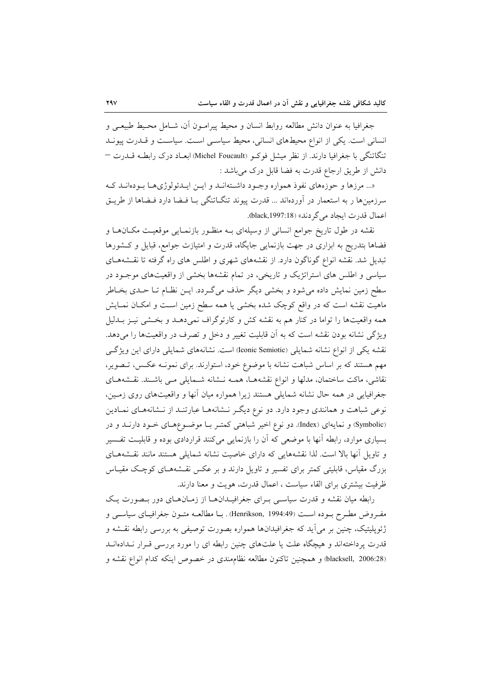جغرافيا به عنوان دانش مطالعه روابط انسان و محيط پيرامـون آن، شــامل محـيط طبيعـي و انسانی است. یکی از انواع محیطهای انسانی، محیط سیاسی است. سیاست و قــدرت پیونــد تنگاتنگی با جغرافیا دارند. از نظر میشل فوکـو (Michel Foucault) ابعـاد درک رابطـه قــدرت – دانش از طریق ارجاع قدرت به فضا قابل درک میباشد :

«... مرزها و حوزههای نفوذ همواره وجـود داشـتهانـد و ایـن ایـدئولوژیهـا بـودهانـد کـه سرزمینها ر به استعمار در آوردهاند … قدرت پیوند تنگـاتنگی بـا فـضا دارد فـضاها از طریـق اعمال قدرت ايجاد مي گر دند» (1997:18).

نقشه در طول تاریخ جوامع انسانی از وسیلهای بـه منظـور بازنمـایی موقعیـت مکـانهـا و فضاها بتدريج به ابزارى در جهت بازنمايي جايگاه، قدرت و امتيازت جوامع، قبايل و كشورها تبدیل شد. نقشه انواع گوناگون دارد. از نقشههای شهری و اطلس های راه گرفته تا نقـشههـای سیاسی و اطلس های استراتژیک و تاریخی، در تمام نقشهها بخشی از واقعیتهای موجبود در سطح زمین نمایش داده میشود و بخشی دیگر حذف میگردد. ایــن نظـام تــا حــدی بخــاطر ماهیت نقشه است که در واقع کوچک شده بخشی یا همه سطح زمین اسـت و امکـان نمـایش همه واقعیتها را تواما در کنار هم به نقشه کش و کارتوگراف نمیدهـد و بخـشی نیـز بـدلیل ویژگی نشانه بودن نقشه است که به آن قابلیت تغییر و دخل و تصرف در واقعیتها را میدهد. نقشه یکی از انواع نشانه شمایلی (Iconic Semiotic) است. نشانههای شمایلی دارای این ویژگی مهم هستند که بر اساس شباهت نشانه با موضوع خود، استوارند. برای نمونـه عکـس، تـصویر، نقاشی، ماکت ساختمان، مدلها و انواع نقشههـا، همـه نـشانه شـمایلی مـی باشـند. نقـشههـای جغرافیایی در همه حال نشانه شمایلی هستند زیرا همواره میان آنها و واقعیتهای روی زمـین، نوعی شباهت و همانندی وجود دارد. دو نوع دیگـر نـشانههـا عبارتنـد از نـشانههـای نمـادین (Symbolic) و نمایهای (Index). دو نوع اخیر شباهتی کمتـر بـا موضـوعهـای خـود دارنـد و در بسیاری موارد، رابطه آنها با موضعی که آن را بازنمایی میکنند قراردادی بوده و قابلیت تفسیر و تاویل آنها بالا است. لذا نقشههایی که دارای خاصیت نشانه شمایلی هستند مانند نقشههای بزرگ مقیاس، قابلیتی کمتر برای تفسیر و تاویل دارند و بر عکس نقـشههـای کوچـک مقیـاس ظرفیت بیشتری برای القاء سیاست ، اعمال قدرت، هو پت و معنا دارند.

رابطه میان نقشه و قدرت سیاسی بـرای جغرافیـدانهـا از زمـانهـای دور بـصورت یـک مفروض مطـرح بـوده اسـت (Henrikson, 1994:49) . بــا مطالعــه متـون جغرافيــاي سياســي و ژئوپلیتیک، چنین بر می[ید که جغرافیدانها همواره بصورت توصیفی به بررسی رابطه نقــشه و قدرت پرداختهاند و هیچگاه علت یا علتهای چنین رابطه ای را مورد بررسی قـرار نـدادهانـد (blacksell, 2006:28) و همچنین تاکنون مطالعه نظام مندی در خصوص اینکه کدام انواع نقشه و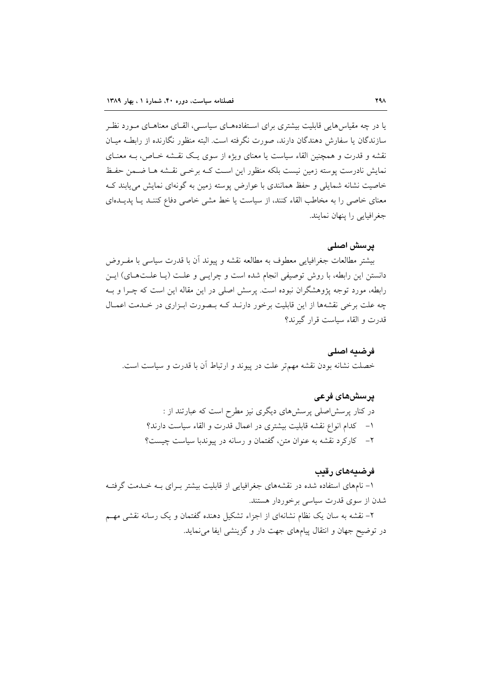یا در چه مقیاس هایی قابلیت بیشتری برای اسـتفادههــای سیاســی، القــای معناهــای مــورد نظــر سازندگان با سفارش دهندگان دارند، صورت نگرفته است. البته منظور نگارنده از رابطـه میــان نقشه و قدرت و همچنین القاء سیاست یا معنای ویژه از سوی یک نقـشه خـاص، بـه معنـای نمايش نادرست يوسته زمين نيست بلكه منظور اين است كـه برخـي نقـشه هـا ضـمن حفـظ خاصیت نشانه شمایلی و حفظ همانندی با عوارض پوسته زمین به گونهای نمایش می پابند ک معنای خاصی را به مخاطب القاء کنند، از سیاست یا خط مشی خاصی دفاع کننـد یـا پدیـدهای جغرافیایی را پنهان نمایند.

#### پرسش اصلی

بيشتر مطالعات جغرافيايي معطوف به مطالعه نقشه و ييوند أن با قدرت سياسي با مفـروض دانستن این رابطه، با روش توصیفی انجام شده است و چرایـی و علـت (یـا علـتهـای) ایـن رابطه، مورد توجه پژوهشگران نبوده است. پرسش اصلی در این مقاله این است که چـرا و بـه چه علت برخی نقشهها از این قابلیت برخور دارنـد کـه بـصورت ابـزاری در خـدمت اعمـال قدرت و القاء سياست قرار گيرند؟

فرضيه اصلى خصلت نشانه بودن نقشه مهمتر علت در پیوند و ارتباط آن با قدرت و سیاست است.

## يرسشهاي فرعي

در کنار پرسشاصلی پرسشهای دیگری نیز مطرح است که عبارتند از : ١- كدام انواع نقشه قابليت بيشترى در اعمال قدرت و القاء سياست دارند؟ ٢- كاركرد نقشه به عنوان متن، گفتمان و رسانه در پيوندبا سياست چيست؟

#### فرضيههای رقيب

۱- نامهای استفاده شده در نقشههای جغرافیایی از قابلیت بیشتر بـرای بـه خـدمت گرفتـه شدن از سوی قدرت سیاسی برخوردار هستند.

۲– نقشه به سان یک نظام نشانهای از اجزاء تشکیل دهنده گفتمان و یک رسانه نقشی مهـم در توضيح جهان و انتقال پيامهاي جهت دار و گزينشي ايفا مي نمايد.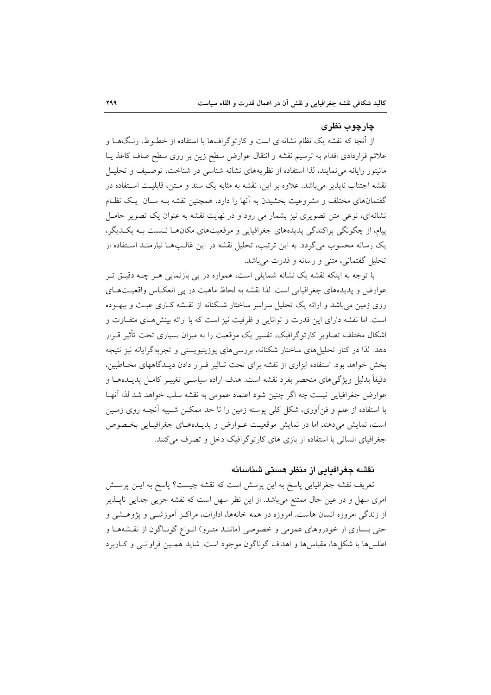#### چارچوب نظری

از آنجا که نقشه یک نظام نشانهای است و کارتوگرافها با استفاده از خطـوط، رنـگهـا و علائم قراردادی اقدام به ترسیم نقشه و انتقال عوارض سطح زین بر روی سطح صاف کاغذ یــا مانیتور رایانه می نمایند، لذا استفاده از نظریههای نشانه شناسی در شناخت، توصـیف و تحلیـل نقشه اجتناب نایذیر می باشد. علاوه بر این، نقشه به مثابه یک سند و مــتن، قابلیــت اســتفاده در گفتمانهای مختلف و مشروعیت بخشیدن به آنها را دارد، همچنین نقشه بـه سـان یـک نظـام نشانهای، نوعی متن تصویری نیز بشمار می رود و در نهایت نقشه به عنوان یک تصویر حامـل پیام، از چگونگی پراکندگی پدیدههای جغرافیایی و موقعیتهای مکانهـا نــسبت بـه یکــدیگر، یک رسانه محسوب می گردد. به این ترتیب، تحلیل نقشه در این غالـبهــا نیازمنــد اسـتفاده از تحليل گفتماني، متني و رسانه و قدرت مي باشد.

با توجه به اینکه نقشه یک نشانه شمایلی است، همواره در پی بازنمایی هـر چــه دقیــق تــر عوارض و پدیدههای جغرافیایی است. لذا نقشه به لحاظ ماهیت در پی انعکـاس واقعیـتهـای روی زمین می باشد و ارائه یک تحلیل سراسر ساختار شکنانه از نقشه کـاری عبـث و بیهـوده است. اما نقشه دارای این قدرت و توانایی و ظرفیت نیز است که با ارائه بینش های متفاوت و اشکال مختلف تصاویر کارتوگرافیک، تفسیر یک موقعیت را به میزان بسیاری تحت تأثیر قـرار دهد. لذا در کنار تحلیلمهای ساختار شکنانه، بررسیهای پوزیتیویستی و تجربهگرایانه نیز نتیجه بخش خواهد بود. استفاده ابزاری از نقشه برای تحت تـاثیر قـرار دادن دیـدگاههای مخـاطبین، دقیقاً بدلیل ویژگیهای منحصر بفرد نقشه است. هدف اراده سیاســی تغییــر کامــل پدیــدههــا و عوارض جغرافیایی نیست چه اگر چنین شود اعتماد عمومی به نقشه سلب خواهد شد لذا آنهـا با استفاده از علم و فنآوری، شکل کلی پوسته زمین را تا حد ممکـن شـبیه آنچـه روی زمـین است، نمایش می دهند اما در نمایش موقعیت عـوارض و پدیـدههـای جغرافیـایی بخـصوص جغرافیای انسانی با استفاده از بازی های کارتوگرافیک دخل و تصرف می کنند.

### نقشه حغرافیایی از منظر هستی شناسانه

تعریف نقشه جغرافیایی پاسخ به این پرسش است که نقشه چیست؟ پاسخ به ایـن پرســش امری سهل و در عین حال ممتنع میباشد. از این نظر سهل است که نقشه جزیی جدایی ناپــذیر از زندگی امروزه انسان هاست. امروزه در همه خانهها، ادارات، مراکـز آموزشــی و پژوهــشی و حتی بسیاری از خودروهای عمومی و خصوصی (ماننـد متـرو) انـواع گونـاگون از نقـشههـا و اطلس ها با شکا ها، مقیاس ها و اهداف گوناگون موجود است. شاید همـین فراوانـی و کـاربرد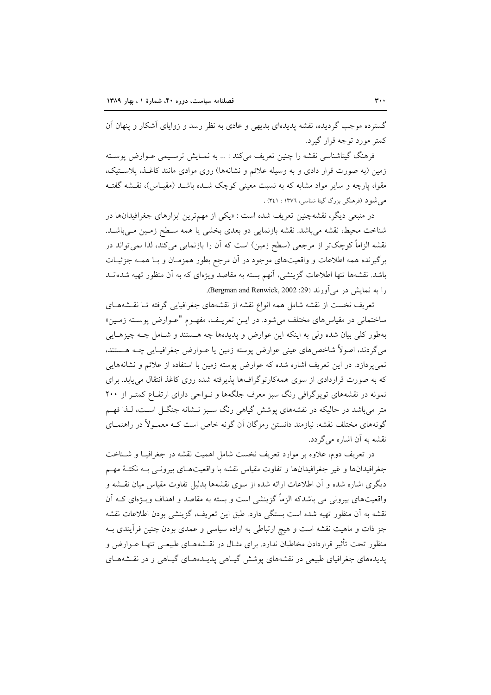گسترده موجب گردیده، نقشه پدیدهای بدیهی و عادی به نظر رسد و زوایای آشکار و پنهان آن کمتر مورد توجه قرار گیرد.

فرهنگ گیتاشناسی نقشه را چنین تعریف میکند : ... به نمـایش ترسـیمی عـوارض پوسـته زمین (به صورت قرار دادی و به وسیله علائم و نشانهها) روی موادی مانند کاغـذ، پلاسـتیک، مقوا، یارچه و سایر مواد مشابه که به نسبت معینی کوچک شـده باشـد (مقیـاس)، نقــشه گفتــه می شود (فرهنگی بزرگ گیتا شناسی، ۱۳۷٦ : ۳٤۱) .

در منبعی دیگر، نقشهچنین تعریف شده است : «یکی از مهمترین ابزارهای جغرافیدانها در شناخت محیط، نقشه می باشد. نقشه بازنمایی دو بعدی بخشی یا همه سـطح زمـین مـی باشـد. نقشه الزاماً کوچکتر از مرجعی (سطح زمین) است که آن را بازنمایی میکند، لذا نمیتواند در برگیرنده همه اطلاعات و واقعیتهای موجود در آن مرجع بطور همزمـان و بـا همـه جزئیـات باشد. نقشهها تنها اطلاعات گزینشی، آنهم بسته به مقاصد ویژهای که به آن منظور تهیه شدهانــد را به نمایش در می آورند (29: Bergman and Renwick, 2002).

تعریف نخست از نقشه شامل همه انواع نقشه از نقشههای جغرافیایی گرفته تـا نقـشههـای ساختمانی در مقیاس۵ای مختلف میشود. در ایــن تعریــف، مفهــوم "عــوارض پوســته زمــین» بهطور کلی بیان شده ولی به اینکه این عوارض و پدیدهها چه هستند و شـامل چــه چیزهـایی می گردند، اصولاً شاخصهای عینی عوارض پوسته زمین یا عـوارض جغرافیـایی چـه هــستند، نمی پردازد. در این تعریف اشاره شده که عوارض پوسته زمین با استفاده از علائم و نشانههایی که به صورت قراردادی از سوی همهکارتوگرافها پذیرفته شده روی کاغذ انتقال می یابد. برای نمونه در نقشههای توپوگرافی رنگ سبز معرف جلگهها و نـواحی دارای ارتفـاع کمتـر از ۲۰۰ متر میباشد در حالیکه در نقشههای پوشش گیاهی رنگ سـبز نــشانه جنگــل اسـت، لــذا فهــم گونههای مختلف نقشه، نیازمند دانستن رمزگان آن گونه خاص است کـه معمـولاً در راهنمـای نقشه به آن اشاره مے گردد.

در تعریف دوم، علاوه بر موارد تعریف نخست شامل اهمیت نقشه در جغرافیـا و شـناخت جغرافیدانها و غیر جغرافیدانها و تفاوت مقیاس نقشه با واقعیتهـای بیرونـی بـه نکتـهٔ مهـم دیگری اشاره شده و آن اطلاعات ارائه شده از سوی نقشهها بدلیل تفاوت مقیاس میان نقــشه و واقعیتهای بیرونی می باشدکه الزماً گزینشی است و بسته به مقاصد و اهداف ویــژهای کــه آن نقشه به آن منظور تهيه شده است بستگي دارد. طبق اين تعريف، گزينشي بودن اطلاعات نقشه جز ذات و ماهیت نقشه است و هیچ ارتباطی به اراده سیاسی و عمدی بودن چنین فرآیندی بـه منظور تحت تأثیر قراردادن مخاطبان ندارد. برای مثـال در نقـشههــای طبیعــی تنهــا عــوارض و پدیدههای جغرافیای طبیعی در نقشههای پوشش گیـاهی پدیـدههـای گیـاهی و در نقـشههـای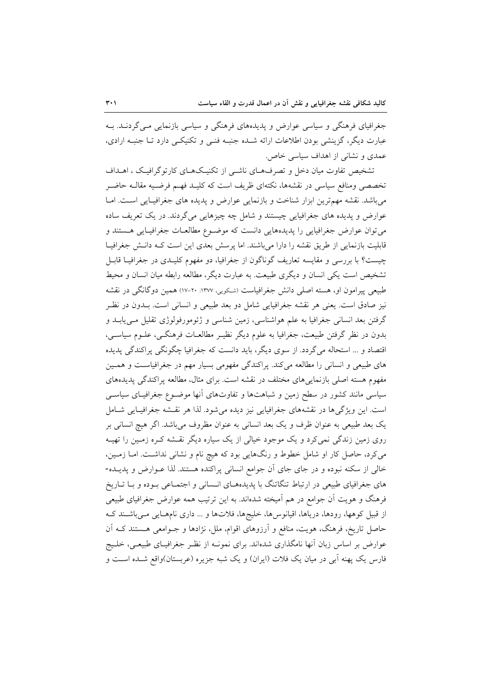جغرافیای فرهنگی و سیاسی عوارض و پدیدههای فرهنگی و سیاسی بازنمایی مـی گردنـد. بـه عبارت دیگر، گزینشی بودن اطلاعات ارائه شـده جنبـه فنـی و تکنیکـی دارد تــا جنبـه ارادی، عمدی و نشانی از اهداف سیاسی خاص.

تشخیص تفاوت میان دخل و تصرفهـای ناشـی از تکنیـکهـای کارتوگرافیـک ، اهــداف تخصصی ومنافع سیاسی در نقشهها، نکتهای ظریف است که کلیـد فهـم فرضـیه مقالـه حاضـر می باشد. نقشه مهم ترین ابزار شناخت و بازنمایی عوارض و پدیده های جغرافیـایی اسـت. امـا عوارض و پدیده های جغرافیایی چیستند و شامل چه چیزهایی میگردند. در یک تعریف ساده می توان عوارض جغرافیایی را پدیدههایی دانست که موضـوع مطالعـات جغرافیـایی هـستند و قابلیت بازنمایی از طریق نقشه را دارا میباشند. اما پرسش بعدی این است کـه دانـش جغرافیـا چیست؟ با بررسی و مقایسه تعاریف گوناگون از جغرافیا، دو مفهوم کلیـدی در جغرافیـا قابـل تشخیص است یکی انسان و دیگری طبیعت به عبارت دیگر، مطالعه رابطه میان انسان و محیط طبیعی پیرامون او، هسته اصلی دانش جغرافیاست (شکویی، ۱۳۷۷: ۲۰-۱۷) همین دوگانگی در نقشه نیز صادق است. یعنی هر نقشه جغرافیایی شامل دو بعد طبیعی و انسانی است. بـدون در نظـر گرفتن بعد انسانی جغرافیا به علم هواشناسی، زمین شناسی و ژئومورفولوژی تقلیل مـیbیابـد و بدون در نظر گرفتن طبیعت، جغرافیا به علوم دیگر نظیـر مطالعـات فرهنگـی، علــوم سیاســی، اقتصاد و … استحاله می گردد. از سوی دیگر، باید دانست که جغرافیا چگونگی پراکندگی پدیده های طبیعی و انسانی را مطالعه میکند. پراکندگی مفهومی بسیار مهم در جغرافیاست و همـین مفهوم هسته اصلی بازنمایی های مختلف در نقشه است. برای مثال، مطالعه پراکندگی پدیدههای سیاسی مانند کشور در سطح زمین و شباهتها و تفاوتهای آنها موضـوع جغرافیـای سیاسـی است. این ویژگیها در نقشههای جغرافیایی نیز دیده میشود. لذا هر نقشه جغرافیـایی شـامل یک بعد طبیعی به عنوان ظرف و یک بعد انسانی به عنوان مظروف میباشد. اگر هیچ انسانی بر روی زمین زندگی نمی کرد و یک موجود خیالی از یک سیاره دیگر نقـشه کـره زمـین را تهیـه می کرد، حاصل کار او شامل خطوط و رنگهایی بود که هیچ نام و نشانی نداشــت. امــا زمــین، خالي از سكنه نبوده و در جاي جاي آن جوامع انساني پراكنده هستند. لذا عـوارض و پديــده-های جغرافیای طبیعی در ارتباط تنگاتنگ با پدیدههـای انـسانی و اجتمـاعی بـوده و بـا تـاریخ فرهنگ و هویت آن جوامع در هم آمیخته شدهاند. به این ترتیب همه عوارض جغرافیای طبیعی از قبیل کوهها، رودها، دریاها، اقیانوس۵ا، خلیجها، فلاتها و … داری نامهـایی مـیباشـند کـه حاصل تاریخ، فرهنگ، هویت، منافع و آرزوهای اقوام، ملل، نژادها و جــوامعی هــستند کــه آن عوارض بر اساس زبان آنها نامگذاری شدهاند. برای نمونـه از نظـر جغرافیــای طبیعــی، خلــیج فارس یک پهنه اَبی در میان یک فلات (ایران) و یک شبه جزیره (عربستان)واقع شــده اسـت و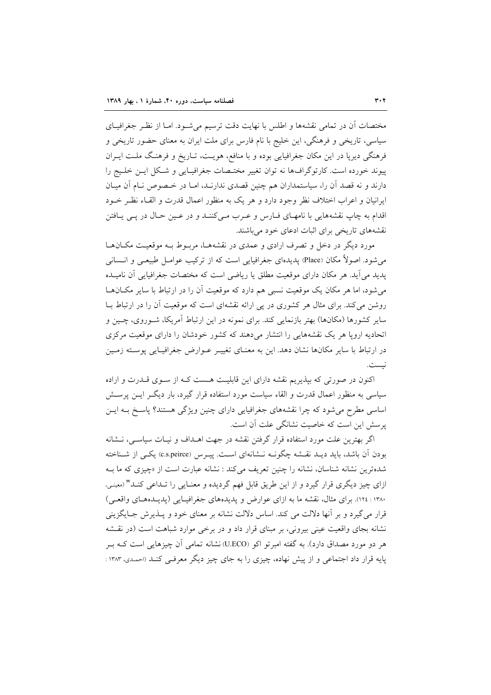مختصات أن در تمامی نقشهها و اطلس با نهایت دقت ترسیم می شـود. امـا از نظـر جغرافیـای سیاسی، تاریخی و فرهنگی، این خلیج با نام فارس برای ملت ایران به معنای حضور تاریخی و فرهنگی دیرپا در این مکان جغرافیایی بوده و با منافع، هویـت، تـاریخ و فرهنـگ ملـت ایــران پیوند خورده است. کارتوگرافها نه توان تغییر مختـصات جغرافیـایی و شـکل ایـن خلـیج را دارند و نه قصد آن را، سیاستمداران هم چنین قصدی ندارنـد، امـا در خـصوص نـام آن میـان ایرانیان و اعراب اختلاف نظر وجود دارد و هر یک به منظور اعمال قدرت و القـاء نظـر خــود اقدام به چاپ نقشههایی با نامهای فیارس و عرب می کننید و در عین حیال در پی پیافتن نقشههای تاریخی برای اثبات ادعای خود میباشند.

مورد دیگر در دخل و تصرف ارادی و عمدی در نقشهها، مربـوط بـه موقعیـت مکـانهـا می شود. اصولاً مکان (Place) پدیدهای جغرافیایی است که از ترکیب عوامـل طبیعـی و انــسانـی یدید می آید. هر مکان دارای موقعیت مطلق یا ریاضی است که مختصات جغرافیایی آن نامیــده می شود، اما هر مکان یک موقعیت نسبی هم دارد که موقعیت آن را در ارتباط با سایر مکـانهـا روشن میکند. برای مثال هر کشوری در پی ارائه نقشهای است که موقعیت آن را در ارتباط بــا سایر کشورها (مکانها) بهتر بازنمایی کند. برای نمونه در این ارتباط آمریکا، شـوروی، چـین و اتحادیه اروپا هر یک نقشههایی را انتشار می دهند که کشور خودشان را دارای موقعیت مرکزی در ارتباط با سایر مکانها نشان دهد. این به معنـای تغییـر عـوارض جغرافیـایی پوسـته زمـین نيست.

اکنون در صورتی که بیذیریم نقشه دارای این قابلیت هست کـه از سـوی قـدرت و اراده سیاسی به منظور اعمال قدرت و القاء سیاست مورد استفاده قرار گیرد، بار دیگ رایـن پرســش اساسی مطرح میشود که چرا نقشههای جغرافیایی دارای چنین ویژگی هستند؟ پاسخ بـه ایـن یرسش این است که خاصیت نشانگی علت آن است.

اگر بهترین علت مورد استفاده قرار گرفتن نقشه در جهت اهـداف و نیـات سیاسـی، نـشانه بودن آن باشد، باید دیـد نقـشه چگونــه نـشانهای اسـت. پیــرس (c.s.peirce) یکــی از شــناخته شدهترین نشانه شناسان، نشانه را چنین تعریف می کند : نشانه عبارت است از «چیزی که ما بـه ازای چیز دیگری قرار گیرد و از این طریق قابل فهم گردیده و معنـایی را تـداعی کنـد" (معینـی، ۱۳۸۰ : ۱۲۶). برای مثال، نقشه ما به ازای عوارض و پدیدههای جغرافیایی (پدیـدههـای واقعـی) قرار مي گيرد و بر آنها دلالت مي كند. اساس دلالت نشانه بر معناي خود و پــذيرش جــايگزيني نشانه بجای واقعیت عینی بیرونی، بر مبنای قرار داد و در برخی موارد شباهت است (در نقشه هر دو مورد مصداق دارد). به گفته امبرتو اکو (U.ECO) نشانه تمامی اَن چیزهایی است کــه بــر پایه قرار داد اجتماعی و از پیش نهاده، چیزی را به جای چیز دیگر معرفی کنـد (احمـدی، ۱۳۸۳: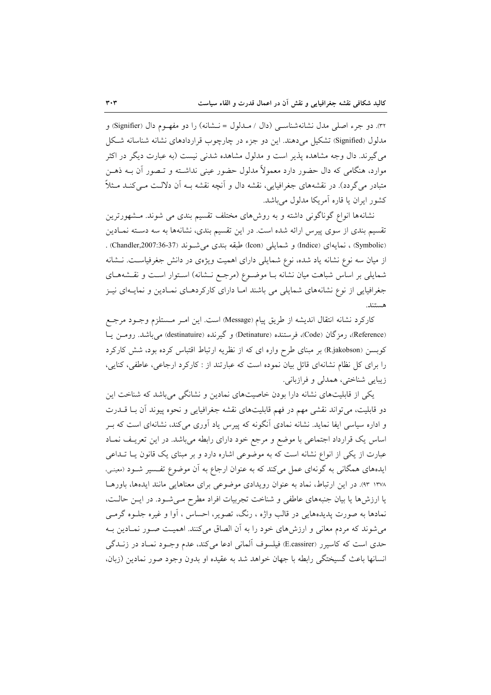٣٢. دو جرء اصلي مدل نشانهشناسـي (دال / مــدلول = نــشانه) را دو مفهـوم دال (Signifier) و مدلول (Signified) تشکیل می دهند. این دو جزء در چارچوب قراردادهای نشانه شناسانه شکل می گیرند. دال وجه مشاهده پذیر است و مدلول مشاهده شدنبی نیست (به عبارت دیگر در اکثر موارد، هنگامی که دال حضور دارد معمولاً مدلول حضور عینی نداشـته و تــصور آن بــه ذهــن متبادر می گردد). در نقشههای جغرافیایی، نقشه دال و آنچه نقشه بـه آن دلالـت مـی کنــد مــثلاً کشور ایران یا قاره آمریکا مدلول می باشد.

نشانهها انواع گوناگونی داشته و به روشهای مختلف تقسیم بندی می شوند. مشهورترین تقسیم بندی از سوی پیرس ارائه شده است. در این تقسیم بندی، نشانهها به سه دسته نمـادین (Symbolic) ، نمايهاى (Indice) و شمايلى (Icon) طبقه بندى مى شـوند (Ghandler,2007:36-37) . از میان سه نوع نشانه یاد شده، نوع شمایلی دارای اهمیت ویژهی در دانش جغرفیاست. نـشانه شمایلی بر اساس شباهت میان نشانه بـا موضـوع (مرجـع نـشانه) اسـتوار اسـت و نقـشههـای جغرافیایی از نوع نشانههای شمایلی می باشند امـا دارای کارکردهـای نمـادین و نمایـهای نیـز هستند.

كاركرد نشانه انتقال انديشه از طريق پيام (Message) است. اين امـر مـستلزم وجـود مرجـع (Reference)، رمزگان (Code)، فرستنده (Detinature) و گیرنده (destinatuire) می باشد. رومـن یـا کوبسن (R.jakobson) بر مبنای طرح واره ای که از نظریه ارتباط اقتباس کرده بود، شش کارکرد را برای کل نظام نشانهای قائل بیان نموده است که عبارتند از : کارکرد ارجاعی، عاطفی، کنایی، زيبايي شناختي، همدلي و فرازباني.

یکی از قابلیتهای نشانه دارا بودن خاصیتهای نمادین و نشانگی می باشد که شناخت این دو قابلیت، می تواند نقشی مهم در فهم قابلیتهای نقشه جغرافیایی و نحوه پیوند آن بـا قــدرت و اداره سیاسی ایفا نماید. نشانه نمادی آنگونه که پیرس یاد آوری میکند، نشانهای است که بـر اساس یک قرارداد اجتماعی با موضع و مرجع خود دارای رابطه میباشد. در این تعریـف نمـاد عبارت از یکی از انواع نشانه است که به موضوعی اشاره دارد و بر مبنای یک قانون یـا تـداعی ایدههای همگانی به گونهای عمل میکند که به عنوان ارجاع به آن موضوع تفسیر شـود (معینی، ۱۳۷۸ ۹۳). در این ارتباط، نماد به عنوان رویدادی موضوعی برای معناهایی مانند ایدهها، باورهـا یا ارزشها یا بیان جنبههای عاطفی و شناخت تجربیات افراد مطرح می شـود. در ایـن حالـت، نمادها به صورت پدیدههایی در قالب واژه ، رنگ، تصویر، احساس ، آوا و غیره جلــوه گرمــی می شوند که مردم معانی و ارزش های خود را به آن الصاق می کنند. اهمیت صـور نمـادین بـه حدی است که کاسیرر (E.cassirer) فیلسوف آلمانی ادعا می کند، عدم وجـود نمـاد در زنــدگی انسانها باعث گسیختگی رابطه با جهان خواهد شد به عقیده او بدون وجود صور نمادین (زبان،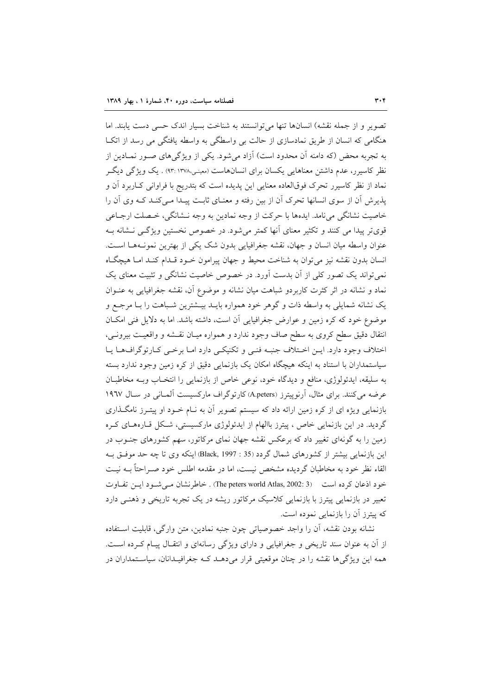تصوير و از جمله نقشه) انسانها تنها مي توانستند به شناخت بسيار اندك حسى دست يابند. اما هنگامی که انسان از طریق نمادسازی از حالت بی واسطگی به واسطه یافتگی می رسد از اتک به تجربه محض (که دامنه آن محدود است) آزاد میشود. یکی از ویژگیهای صـور نمـادین از نظر کاسپرر، عدم داشتن معناهایی یکسان برای انسانهاست (معینی،۱۳۷۸ :۹۳) . یک ویژگی دیگ نماد از نظر کاسیرر تحرک فوقالعاده معنایی این پدیده است که بتدریج با فراوانی کـاربرد آن و پذیرش ان از سوی انسانها تحرک اّن از بین رفته و معنـای ثابـت پیـدا مـیکنـد کـه وی اّن را خاصيت نشانگي مي نامد. ايدهها با حركت از وجه نمادين به وجه نــشانگي، خــصلت ارجــاعي قوی تر پیدا می کنند و تکثیر معنای آنها کمتر می شود. در خصوص نخستین ویژگے نیشانه ب عنوان واسطه ميان انسان و جهان، نقشه جغرافيايي بدون شک يکي از بهترين نمونـههـا اسـت. انسان بدون نقشه نیز می توان به شناخت محیط و جهان پیرامون خـود قـدام کنـد امـا هیچگـاه نمی تواند یک تصور کلی از آن بدست آورد. در خصوص خاصیت نشانگی و تثبیت معنای یک نماد و نشانه در اثر کثرت کاربردو شباهت میان نشانه و موضوع آن، نقشه جغرافیایی به عنـوان یک نشانه شمایلی به واسطه ذات و گوهر خود همواره بایـد بیـشترین شـباهت را بـا مرجـع و موضوع خود که کره زمین و عوارض جغرافیایی آن است، داشته باشد. اما به دلایل فنی امکـان انتقال دقیق سطح کروی به سطح صاف وجود ندارد و همواره میـان نقـشه و واقعیـت بیرونـی، اختلاف وجود دارد. ایـن اخـتلاف جنبـه فنـی و تكنيكـی دارد امـا برخـی كـارتوگرافهـا يـا سیاستمداران با استناد به اینکه هیچگاه امکان یک بازنمایی دقیق از کره زمین وجود ندارد بسته به سليقه، ايدئولوژي، منافع و ديدگاه خود، نوعي خاص از بازنمايي را انتخـاب وبــه مخاطبــان عرضه می کنند. برای مثال، آرنوییترز (A.peters) کارتوگراف مارکسیست آلمـانی در سـال ١٩٦٧ بازنمایی ویژه ای از کره زمین ارائه داد که سیستم تصویر آن به نـام خــود او پیتــرز نامگــذاری گردید. در این بازنمایی خاص ، پیترز باالهام از ایدئولوژی مارکسیستی، شکل قیارههای کره زمین را به گونهای تغییر داد که برعکس نقشه جهان نمای مرکاتور، سهم کشورهای جنـوب در این بازنمایی بیشتر از کشورهای شمال گردد (35 : Black, 1997) اینکه وی تا چه حد موفـق بـه القاء نظر خود به مخاطبان گردیده مشخص نیست، اما در مقدمه اطلس خود صـراحتاً بــه نیــت خود اذعان کردہ است ( The peters world Atlas, 2002: 3) . خاطرنشان مے شبود اپن تفیاوت تعبیر در بازنمایی پیترز با بازنمایی کلاسیک مرکاتور ریشه در یک تجربه تاریخی و ذهنبی دارد که پیترز آن را بازنمایی نموده است.

نشانه بودن نقشه، أن را واجد خصوصياتي چون جنبه نمادين، متن وارگي، قابليت اسـتفاده از آن به عنوان سند تاریخی و جغرافیایی و دارای ویژگی رسانهای و انتقـال پیـام کـرده اسـت. همه این ویژگیها نقشه را در چنان موقعیتی قرار میدهـد کـه جغرافیـدانان، سیاسـتمداران در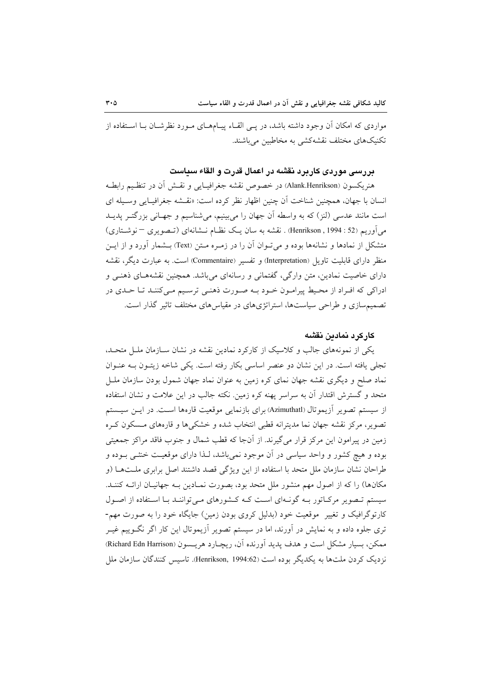مواردی که امکان آن وجود داشته باشد، در پــی القــاء پیــامهــای مــورد نظرشــان بــا اســتفاده از تکنیکهای مختلف نقشهکشی به مخاطبین میباشند.

## بررسی موردی کاربرد نقشه در اعمال قدرت و القاء سیاست

هنريكسون (Alank.Henrikson) در خصوص نقشه جغرافيـايي و نقــش آن در تنظـيم رابطــه انسان با جهان، همچنین شناخت اّن چنین اظهار نظر کرده است: «نقـشه جغرافیـایی وسـیله ای است مانند عدسی (لنز) که به واسطه آن جهان را میبینیم، میشناسیم و جهـانی بزرگتـر پدیــد می آوریم (52 : Henrikson , 1994) . نقشه به سان یک نظـام نــشانهای (تــصویری – نوشــتاری) متشکل از نمادها و نشانهها بوده و می تـوان آن را در زمـره مـتن (Text) بـشمار آورد و از ایــن منظر دارای قابلیت تاویل (Interpretation) و تفسیر (Commentaire) است. به عبارت دیگر، نقشه دارای خاصیت نمادین، متن وارگی، گفتمانی و رسانهای میباشد. همچنین نقشههـای ذهنـی و ادراکی که افـراد از محـيط پيرامـون خـود بـه صـورت ذهنـي ترسـيم مـيکننـد تـا حـدي در تصمیم سازی و طراحی سیاستها، استراتژیهای در مقیاس های مختلف تاثیر گذار است.

#### كاركرد نمادين نقشه

یکی از نمونههای جالب و کلاسیک از کارکرد نمادین نقشه در نشان سـازمان ملـل متحـله، تجلَّى يافته است. در اين نشان دو عنصر اساسي بكار رفته است. يكي شاخه زيتـون بـه عنـوان نماد صلح و دیگری نقشه جهان نمای کره زمین به عنوان نماد جهان شمول بودن سازمان ملـل متحد و گسترش اقتدار آن به سراسر یهنه کره زمین. نکته جالب در این علامت و نشان استفاده از سیستم تصویر آزیموتال (Azimuthatl) برای بازنمایی موقعیت قارهها اسـت. در ایــن سیــستم تصویر، مرکز نقشه جهان نما مدیترانه قطبی انتخاب شده و خشکیها و قارههای مسکون کره زمین در پیرامون این مرکز قرار می گیرند. از آنجا که قطب شمال و جنوب فاقد مراکز جمعیتی بوده و هیچ کشور و واحد سیاسی در آن موجود نمیباشد، لـذا دارای موقعیـت خنثــی بــوده و طراحان نشان سازمان ملل متحد با استفاده از این ویژگی قصد داشتند اصل برابری ملـتهـا (و مکانها) را که از اصول مهم منشور ملل متحد بود، بصورت نمـادين بـه جهانيـان ارائـه کننـد. سیستم تـصویر مرکـاتور بـه گونـهای اسـت کـه کـشورهای مـیتواننـد بـا اسـتفاده از اصـول کارتوگرافیک و تغییر ً موقعیت خود (بدلیل کروی بودن زمین) جایگاه خود را به صورت مهم-تری جلوه داده و به نمایش در آورند، اما در سیستم تصویر آزیموتال این کار اگر نگــوییم غیــر ممكن، بسيار مشكل است و هدف يديد آورنده آن، ريچـارد هريـسون (Richard Edn Harrison) نزديک کردن ملتها به يکديگر بوده است (Henrikson, 1994:62). تاسيس کنندگان سازمان ملل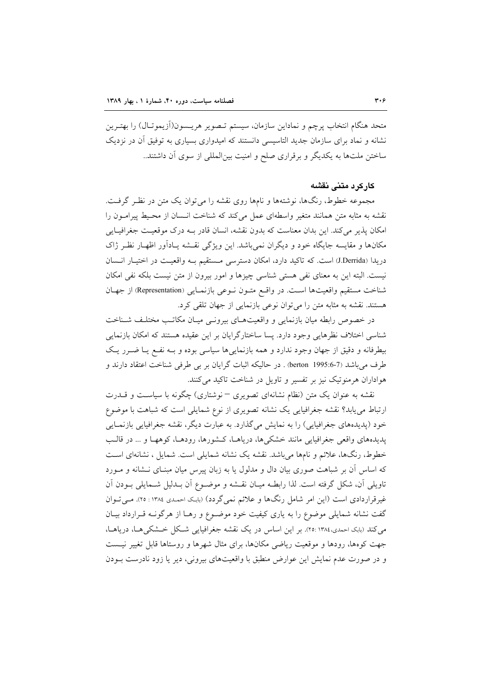متحد هنگام انتخاب پرچم و نماداین سازمان، سیستم تـصویر هریـسون(آزیموتـال) را بهتـرین نشانه و نماد برای سازمان جدید التاسیسی دانستند که امیدواری بسیاری به توفیق آن در نزدیک ساختن ملتها به یکدیگر و برقراری صلح و امنیت بین|لمللی از سوی آن داشتند..

### کار کرد متنی نقشه

مجموعه خطوط، رنگها، نوشتهها و نامها روی نقشه را میٍتوان یک متن در نظـر گرفـت. نقشه به مثابه متن همانند متغیر واسطهای عمل می کند که شناخت انـسان از محـیط پیرامـون را امکان پذیر میکند. این بدان معناست که بدون نقشه، انسان قادر بـه درک موقعیت جغرافیـایی مکانها و مقایسه جایگاه خود و دیگران نمی باشد. این ویژگی نقشه پـادآور اظهـار نظـر ژاک دريدا (J.Derrida) است. كه تاكيد دارد، امكان دسترسي مستقيم بـه واقعيـت در اختيـار انـسان نیست. البته این به معنای نفی هستی شناسی چیزها و امور بیرون از متن نیست بلکه نفی امکان شناخت مستقيم واقعيتها است. در واقع متـون نـوعى بازنمـايي (Representation) از جهـان هستند. نقشه به مثابه متن را می توان نوعی بازنمایی از جهان تلقی کرد.

در خصوص رابطه میان بازنمایی و واقعیتهای بیرونبی میـان مکاتـب مختلـف شـناخت شناسی اختلاف نظرهایی وجود دارد. پسا ساختارگرایان بر این عقیده هستند که امکان بازنمایی بیطرفانه و دقیق از جهان وجود ندارد و همه بازنماییها سیاسی بوده و بـه نفـع یـا ضـرر یـک طرف مي باشد (berton 1995:6-7) . در حاليكه اثبات گرايان بر بي طرفي شناخت اعتقاد دارند و هواداران هرمنوتیک نیز بر تفسیر و تاویل در شناخت تاکید میکنند.

نقشه به عنوان یک متن (نظام نشانهای تصویری – نوشتاری) چگونه با سیاسـت و قــدرت ارتباط می یابد؟ نقشه جغرافیایی یک نشانه تصویری از نوع شمایلی است که شباهت با موضوع خود (پدیدههای جغرافیایی) را به نمایش میگذارد. به عبارت دیگر، نقشه جغرافیایی بازنمـایی پدیدههای واقعی جغرافیایی مانند خشکیها، دریاهـا، کـشورها، رودهـا، کوههـا و … در قالـب خطوط، رنگها، علائم و نامها میباشد. نقشه یک نشانه شمایلی است. شمایل ، نشانهای است که اساس آن بر شباهت صوری بیان دال و مدلول یا به زبان پیرس میان مبنـای نــشانه و مــورد تاویلی آن، شکل گرفته است. لذا رابطـه میـان نقـشه و موضـوع آن بـدلیل شـمایلی بـودن آن غیرقراردادی است (این امر شامل رنگها و علائم نمیگردد) (بابک احمدی ۱۳۸٤ : ۲۵). مـیتوان گفت نشانه شمایلی موضوع را به یاری کیفیت خود موضـوع و رهـا از هرگونـه قـرارداد بیـان می کند (بابک احمدی،۱۳۸٤ :۲۵). بر این اساس در یک نقشه جغرافیایی شـکل خـشکی هـا، دریاهـا، جهت کوهها، رودها و موقعیت ریاضی مکانها، برای مثال شهرها و روستاها قابل تغییر نیست و در صورت عدم نمایش این عوارض منطبق با واقعیتهای بیرونی، دیر یا زود نادرست بـودن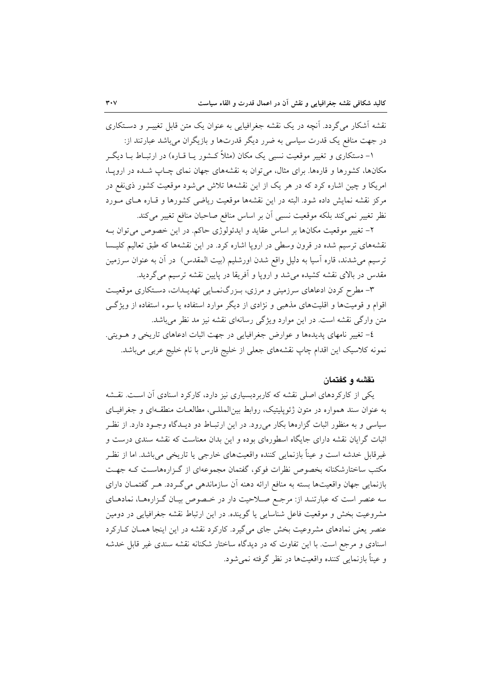نقشه آشکار می گردد. آنچه در یک نقشه جغرافیایی به عنوان یک متن قابل تغییـر و دسـتکاری در جهت منافع یک قدرت سیاسی به ضرر دیگر قدرتها و بازیگران می باشد عبارتند از:

۱– دستکاری و تغییر موقعیت نسبی یک مکان (مثلاً کــشور یــا قــاره) در ارتبــاط بــا دیگــر مکانها، کشورها و قارهها. برای مثال، می توان به نقشههای جهان نمای چـاپ شـده در اروپـا، امریکا و چین اشاره کرد که در هر یک از این نقشهها تلاش میشود موقعیت کشور ذی نفع در مرکز نقشه نمایش داده شود. البته در این نقشهها موقعیت ریاضی کشورها و قباره هبای مبورد نظر تغییر نمی کند بلکه موقعیت نسبی آن بر اساس منافع صاحبان منافع تغییر می کند.

۲– تغییر موقعیت مکانها بر اساس عقاید و ایدئولوژی حاکم. در این خصوص می توان بـه نقشههای ترسیم شده در قرون وسطی در اروپا اشاره کرد. در این نقشهها که طبق تعالیم کلیسا ترسیم میشدند، قاره اسیا به دلیل واقع شدن اورشلیم (بیت المقدس) ً در آن به عنوان سرزمین مقدس در بالای نقشه کشیده می شد و اروپا و اَفریقا در پایین نقشه ترسیم می گردید.

۳- مطرح کردن ادعاهای سرزمینی و مرزی، بـزرگنمـایی تهدیـدات، دسـتکاری موقعیـت اقوام و قومیتها و اقلیتهای مذهبی و نژادی از دیگر موارد استفاده یا سوء استفاده از ویژگی متن وارگی نقشه است. در این موارد ویژگی رسانهای نقشه نیز مد نظر میباشد.

٤- تغییر نامهای پدیدهها و عوارض جغرافیایی در جهت اثبات ادعاهای تاریخی و هـویتی. نمونه كلاسيك اين اقدام چاپ نقشههاى جعلى از خليج فارس با نام خليج عربى مىباشد.

#### نقشه و گفتمان

یکی از کارکردهای اصلی نقشه که کاربردبسیاری نیز دارد، کارکرد اسنادی آن است. نقشه به عنوان سند همواره در متون ژئوپلیتیک، روابط بین المللـی، مطالعـات منطقـهای و جغرافیـای سیاسی و به منظور اثبات گزارهها بکار میرود. در این ارتبـاط دو دیــدگاه وجـود دارد. از نظـر اثبات گرایان نقشه دارای جایگاه اسطورهای بوده و این بدان معناست که نقشه سندی درست و غیرقابل خدشه است و عیناً بازنمایی کننده واقعیتهای خارجی یا تاریخی میباشد. اما از نظـر مکتب ساختارشکنانه بخصوص نظرات فوکو، گفتمان مجموعهای از گـزارههاسـت کـه جهـت بازنمایی جهان واقعیتها بسته به منافع ارائه دهنه آن سازماندهی میگردد. هـر گفتمـان دارای سه عنصر است که عبارتنـد از: مرجـع صـلاحیت دار در خـصوص بیـان گـزارههـا، نمادهـای مشروعیت بخش و موقعیت فاعل شناسایی یا گوینده. در این ارتباط نقشه جغرافیایی در دومین عنصر یعنی نمادهای مشروعیت بخش جای میگیرد. کارکرد نقشه در این اینجا همـان کـارکرد اسنادی و مرجع است. با این تفاوت که در دیدگاه ساختار شکنانه نقشه سندی غیر قابل خدشه و عيناً بازنمايي كننده واقعيتها در نظر گرفته نمي شود.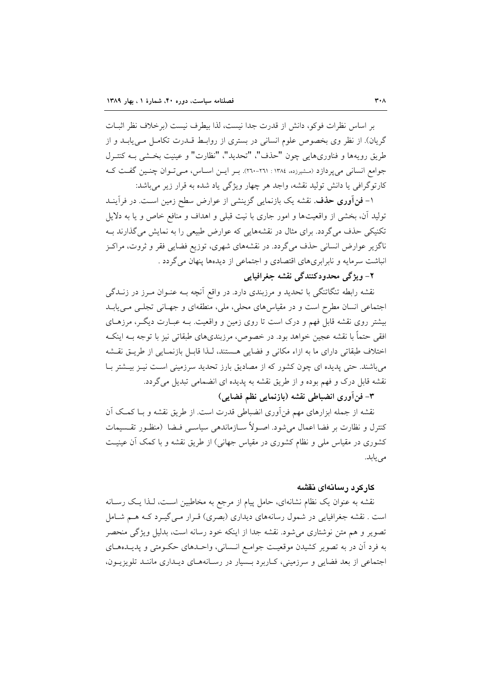بر اساس نظرات فوكو، دانش از قدرت جدا نيست، لذا بيطرف نيست (برخلاف نظر اثبـات گریان). از نظر وی بخصوص علوم انسانی در بستری از روابط قــدرت تکامــل مــی پابــد و از طريق رويهها و فناوريهايي چون "حذف"، "تحديد"، "نظارت" و عينيت بخشي بـه كنتـرل جوامع انسانی می یر دازد (مشیرزده، ۱۳۸٤ : ۲۱۱-۲۹۰). بهر این اساس، می توان چنین گفت ک کارتوگرافي يا دانش توليد نقشه، واجد هر چهار ويژگي ياد شده به قرار زير مي باشد:

۱- فن**آوری حذف**. نقشه یک بازنمایی گزینشی از عوارض سطح زمین اسـت. در فرآینــد تولید آن، بخشی از واقعیتها و امور جاری با نیت قبلی و اهداف و منافع خاص و یا به دلایل تکنیکی حذف می گردد. برای مثال در نقشههایی که عوارض طبیعی را به نمایش می گذارند بـه ناگزیر عوارض انسانی حذف میگردد. در نقشههای شهری، توزیع فضایی فقر و ثروت، مراکـز انباشت سرمایه و نابرابریهای اقتصادی و اجتماعی از دیدهها پنهان می گردد .

# ٢- ويژگي محدودکنندگي نقشه جغرافيايي

نقشه رابطه تنگاتنگی با تحدید و مرزبندی دارد. در واقع آنچه بــه عنــوان مــرز در زنــدگی اجتماعی انسان مطرح است و در مقیاس های محلی، ملی، منطقهای و جهـانی تجلـی مـی یابـد بیشتر روی نقشه قابل فهم و درک است تا روی زمین و واقعیت. بـه عبـارت دیگـر، مرزهـای افقی حتماً با نقشه عجین خواهد بود. در خصوص، مرزبندیهای طبقاتی نیز با توجه بــه اینکــه اختلاف طبقاتی دارای ما به ازاء مکانی و فضایی هستند، لـذا قابـل بازنمـایی از طریــق نقـشه میباشند. حتی پدیده ای چون کشور که از مصادیق بارز تحدید سرزمینی است نیـز بیـشتر بـا نقشه قابل درک و فهم بوده و از طریق نقشه به پدیده ای انضمامی تبدیل می گردد.

٣- فن اَورى انضباطي نقشه (بازنمايي نظم فضايي)

نقشه از جمله ابزارهای مهم فنآوری انضباطی قدرت است. از طریق نقشه و بـا کمـک آن كنترل و نظارت بر فضا اعمال مى شود. اصـولاً سـازماندهى سياسـى فـضا (منظـور تقـسيمات کشوری در مقیاس ملی و نظام کشوری در مقیاس جهانی) از طریق نقشه و با کمک آن عینیت می یابد.

### كاركرد رسانهاى نقشه

نقشه به عنوان یک نظام نشانهای، حامل پیام از مرجع به مخاطبین اسـت، لـذا یـک رسـانه است . نقشه جغرافیایی در شمول رسانههای دیداری (بصری) قـرار مـیگیـرد کـه هـم شـامل تصویر و هم متن نوشتاری میشود. نقشه جدا از اینکه خود رسانه است، بدلیل ویژگی منحصر به فرد آن در به تصویر کشیدن موقعیت جوامـع انـسانی، واحـدهای حکـومتی و پدیــدههــای اجتماعی از بعد فضایی و سرزمینی، کاربرد بسیار در رسانههای دیداری مانند تلویزیـون،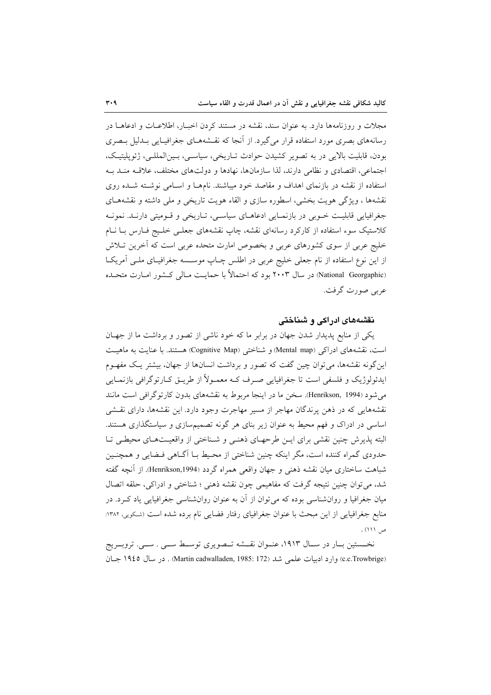مجلات و روزنامهها دارد. به عنوان سند، نقشه در مستند کردن اخبـار، اطلاعـات و ادعاهــا در رسانههای بصری مورد استفاده قرار می گیرد. از آنجا که نقـشههـای جغرافیـایی بـدلیل بـصری بودن، قابلیت بالایی در به تصویر کشیدن حوادث تـاریخی، سیاســی، بـین|لمللــی، ژئوپلیتیـک، اجتماعي، اقتصادي و نظامي دارند، لذا سازمانها، نهادها و دولتهاي مختلف، علاقــه منــد بــه استفاده از نقشه در بازنمای اهداف و مقاصد خود میباشند. نامهـا و اسـامی نوشـته شـده روی نقشهها ، ویژگی هویت بخشی، اسطوره سازی و القاء هویت تاریخی و ملی داشته و نقشههـای جغرافیایی قابلیت خـوبی در بازنمـایی ادعاهـای سیاسـی، تـاریخی و قـومیتی دارنـد. نمونـه کلاستیک سوء استفاده از کارکرد رسانهای نقشه، چاپ نقشههای جعلـی خلـیج فـارس بـا نـام خلیج عربی از سوی کشورهای عربی و بخصوص امارت متحده عربی است که آخرین تـلاش از این نوع استفاده از نام جعلبی خلیج عربی در اطلس چـاپ موسـسه جغرافیـای ملـی آمریکـا (National Georgaphic) در سال ۲۰۰۳ بود که احتمالاً با حمایت مـالی کـشور امـارت متحـده عربي صورت گرفت.

### نقشههای ادراکی و شناختی

یکی از منابع پدیدار شدن جهان در برابر ما که خود ناشی از تصور و برداشت ما از جهـان است، نقشههای ادراکی (Mental map) و شناختی (Cognitive Map) هستند. با عنایت به ماهیت این گونه نقشهها، می توان چین گفت که تصور و برداشت انسانها از جهان، بیشتر یـک مفهـوم ایدئولوژیک و فلسفی است تا جغرافیایی صـرف کــه معمــولأ از طریــق کــارتوگرافی بازنمــایی می شود (Henrikson, 1994). سخن ما در اینجا مربوط به نقشههای بدون کارتوگرافی است مانند نقشههایی که در ذهن پرندگان مهاجر از مسیر مهاجرت وجود دارد. این نقشهها، دارای نقشی اساسی در ادراک و فهم محیط به عنوان زیر بنای هر گونه تصمیمسازی و سیاستگذاری هستند. البته پذیرش چنین نقشی برای ایـن طرحهـای ذهنـی و شـناختی از واقعیـتهـای محیطـی تـا حدودی گمراه کننده است، مگر اینکه چنین شناختی از محـیط بـا اَگــاهی فــضایی و همچنــین شباهت ساختاري ميان نقشه ذهني و جهان واقعي همراه گردد (Henrikson,1994). از آنچه گفته شد، مي توان چنين نتيجه گرفت كه مفاهيمي چون نقشه ذهني ؛ شناختي و ادراكي، حلقه اتصال میان جغرافیا و روانشناسی بوده که میتوان از آن به عنوان روانشناسی جغرافیایی یاد کـرد. در منابع جغرافیایی از این مبحث با عنوان جغرافیای رفتار فضایی نام برده شده است (شکویی، ۱۳۸۲: ص ١١١) .

نخــستین بــار در ســال ۱۹۱۳، عنــوان نقـــشه تـــصویری توســـط ســـی . ســـی. تروبـــریج (c.c.Trowbrige) وارد ادبیات علمی شد (172 :Martin cadwalladen, 1985) . در سال ۱۹٤٥ جبان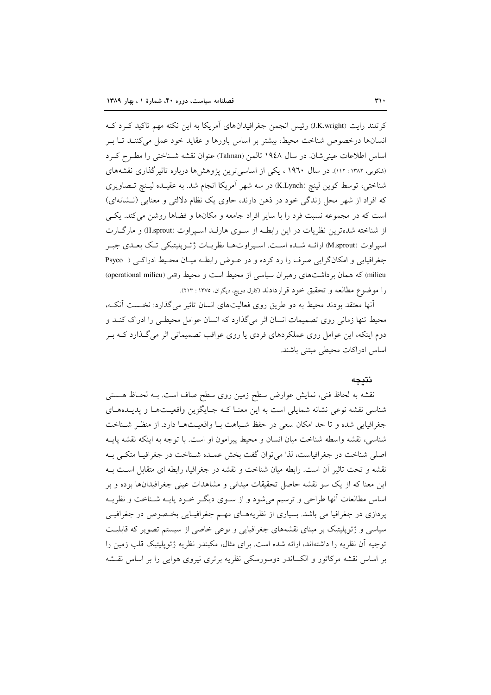کرتلند رایت (J.K.wright) رئیس انجمن جغرافیدانهای آمریکا به این نکته مهم تاکید کـرد کـه انسانها درخصوص شناخت محیط، بیشتر بر اساس باورها و عقاید خود عمل میکننـد تـا بـر اساس اطلاعات عینی شان. در سال ۱۹٤۸ تالمن (Talman) عنوان نقشه شـناختی را مطـرح کـرد (شکویی، ۱۳۸۲ : ۱۱۲). در سال ۱۹٦۰ ، یکی از اساسی ترین پژوهشها درباره تاثیر گذاری نقشههای شناختی، توسط کوین لینچ (K.Lynch) در سه شهر آمریکا انجام شد. به عقیـده لیـنچ تـصاویری که افراد از شهر محل زندگی خود در ذهن دارند، حاوی یک نظام دلالتی و معنایی (نـشانهای) است که در مجموعه نسبت فرد را با سایر افراد جامعه و مکانها و فضاها روشن می کند. یکهی از شناخته شدهترین نظریات در این رابطـه از سـوی هارلـد اسـیراوت (H.sprout) و مارگــارت اسپراوت (M.sprout) ارائــه شــده اســت. اسـپراوتهــا نظريــات ژئــويليتيكي تـك بعــدي جبـر جغرافيايي و امكانگرايي صرف را رد كرده و در عـوض رابطـه ميـان محـيط ادراكـي ( Psyco milieu) که همان برداشتهای رهبران سیاسی از محیط است و محیط واقعی (operational milieu) را موضوع مطالعه و تحقيق خود قراردادند (كارل دويچ، ديگران، ١٣٧٥ : ٢١٣).

أنها معتقد بودند محیط به دو طریق روی فعالیتهای انسان تاثیر می گذارد: نخست آنکه، محیط تنها زمانی روی تصمیمات انسان اثر میگذارد که انسان عوامل محیطـی را ادراک کنـد و دوم اینکه، این عوامل روی عملکردهای فردی یا روی عواقب تصمیماتی اثر میگذارد کـه بـر اساس ادراكات محيطى مبتنى باشند.

#### نتىحە

نقشه به لحاظ فنی، نمایش عوارض سطح زمین روی سطح صاف است. بـه لحـاظ هــستی شناسی نقشه نوعی نشانه شمایلی است به این معنـا کـه جـایگزین واقعیـتهـا و پدیـدههـای جغرافيايي شده و تا حد امكان سعى در حفظ شباهت بـا واقعيـتهـا دارد. از منظـر شـناخت شناسی، نقشه واسطه شناخت میان انسان و محیط پیرامون او است. با توجه به اینکه نقشه پایـه اصلی شناخت در جغرافیاست، لذا می توان گفت بخش عمـده شـناخت در جغرافیـا متکـبی بـه نقشه و تحت تاثیر آن است. رابطه میان شناخت و نقشه در جغرافیا، رابطه ای متقابل است بـه این معنا که از یک سو نقشه حاصل تحقیقات میدانی و مشاهدات عینی جغرافیدانها بوده و بر اساس مطالعات أنها طراحي و ترسيم ميشود و از سـوى ديگـر خـود پايــه شـناخت و نظريــه پردازی در جغرافیا می باشد. بسیاری از نظریههـای مهـم جغرافیـایی بخـصوص در جغرافیــی سیاسی و ژئوپلیتیک بر مبنای نقشههای جغرافیایی و نوعی خاصی از سیستم تصویر که قابلیت توجیه آن نظریه را داشتهاند، ارائه شده است. برای مثال، مکیندر نظریه ژئوپلیتیک قلب زمین را بر اساس نقشه مرکاتور و الکساندر دوسورسکی نظریه برتری نیروی هوایی را بر اساس نقشه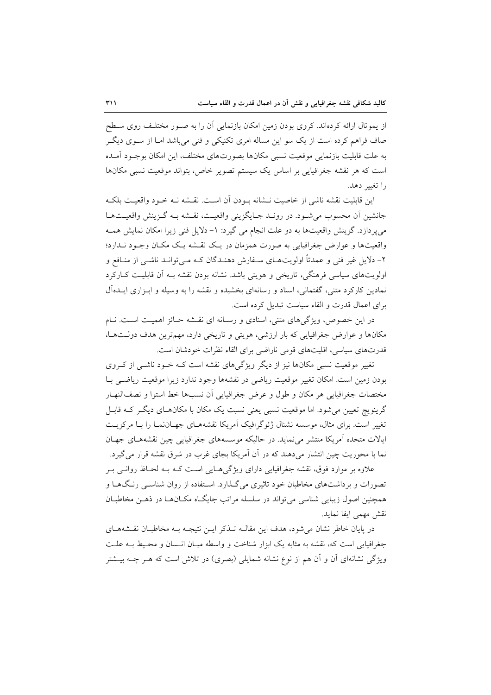از یموتال ارائه کردهاند. کروی بودن زمین امکان بازنمایی آن را به صـور مختلـف روی سـطح صاف فراهم کرده است از یک سو این مساله امری تکنیکی و فنی می باشد امـا از سـوی دیگـر به علت قابلیت بازنمایی موقعیت نسبی مکانها بصورتهای مختلف، این امکان بوجـود آمـده است که هر نقشه جغرافیایی بر اساس یک سیستم تصویر خاص، بتواند موقعیت نسبی مکانها را تغییر دهد.

اين قابليت نقشه ناشي از خاصيت نــشانه بــودن آن اســت. نقــشه نــه خــود واقعيــت بلكــه جانشین آن محسوب می شود. در رونـد جـایگزینی واقعیـت، نقـشه بـه گـزینش واقعیـتهـا مي يو دازد. گزينش واقعيتها به دو علت انجام مي گيرد: ١- دلايل فني زيرا امكان نمايش همـه واقعیتها و عوارض جغرافیایی به صورت همزمان در یک نقشه یک مکـان وجـود نـدارد؛ ۲- دلایل غیر فنی و عمدتاً اولویتهـای سـفارش دهنـدگان کـه مـیتوانـد ناشـی از منـافع و اولویتهای سیاسی فرهنگی، تاریخی و هویتی باشد. نشانه بودن نقشه بـه آن قابلیـت کــارکرد نمادین کارکرد متنی، گفتمانی، اسناد و رسانهای بخشیده و نقشه را به وسیله و ابزاری ایـدهآل برای اعمال قدرت و القاء سیاست تبدیل کرده است.

در این خصوص، ویژگیهای متنی، اسنادی و رسانه ای نقشه حـائز اهمیـت اسـت. نـام مکانها و عوارض جغرافیایی که بار ارزشی، هویتی و تاریخی دارد، مهمترین هدف دولتها، قدرتهای سیاسی، اقلیتهای قومی ناراضی برای القاء نظرات خودشان است.

تغییر موقعیت نسبی مکانها نیز از دیگر ویژگیهای نقشه است کـه خـود ناشـی از کـروی بودن زمین است. امکان تغییر موقعیت ریاضی در نقشهها وجود ندارد زیرا موقعیت ریاضی بـا مختصات جغرافيايي هر مكان و طول و عرض جغرافيايي أن نسبها خط استوا و نصفالنهـار گرینویچ تعیین می شود. اما موقعیت نسبی یعنی نسبت یک مکان با مکانهای دیگر کـه قابـل تغییر است. برای مثال، موسسه نشنال ژئوگرافیک آمریکا نقشههـای جهـاننمـا را بـا مرکزیـت ایالات متحده آمریکا منتشر می نماید. در حالیکه موسسههای جغرافیایی چین نقشههـای جهـان نما با محوریت چین انتشار میدهند که در آن آمریکا بجای غرب در شرق نقشه قرار میگیرد.

علاوه بر موارد فوق، نقشه جغرافیایی دارای ویژگیهایی است کـه بـه لحـاظ روانــی بـر تصورات و برداشتهای مخاطبان خود تاثیری می گـذارد. اسـتفاده از روان شناسـی رنـگهـا و همچنین اصول زیبایی شناسی می تواند در سلسله مراتب جایگIه مکـانهـا در ذهــن مخاطبـان نقش مهمى ايفا نمايد.

در پایان خاطر نشان می شود، هدف این مقالــه تــذکر ایــن نتیجــه بــه مخاطبــان نقــشههــای جغرافیایی است که، نقشه به مثابه یک ابزار شناخت و واسطه میـان انـسان و محـیط بـه علـت ویژگی نشانهای آن و آن هم از نوع نشانه شمایلی (بصری) در تلاش است که هـر چــه بیــشتر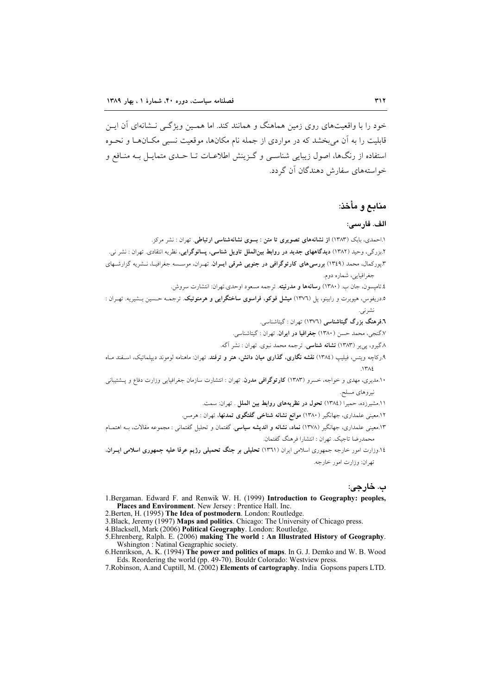خود را با واقعیتهای روی زمین هماهنگ و همانند کند. اما همـین ویژگـی نـشانهای آن ایـن قابلیت را به آن می بخشد که در مواردی از جمله نام مکانها، موقعیت نسبی مکـانهـا و نحـوه استفاده از رنگها، اصول زیبایی شناسبی و گـزینش اطلاعـات تــا حــدی متمایــل بــه منــافع و خواستههای سفارش دهندگان آن گردد.

## منابع و مأخذ:

#### الف. فارسى:

- ۱.احمدی، بابک (۱۳۸۳) ا**ز نشانههای تصویری تا متن : بسوی نشانهشناسی ارتباطی**. تهران : نشر مرکز.
- ۲.بزرگی، وحید (۱۳۸۲) **دیدگاههای جدید در روابط بینالملل تاویل شناسی، پسانوگرایی**، نظریه انتقادی. تهران : نشر نی. ۳.پورکمال، محمد (۱۳٤۹) **بررسی های کارتوگرافی در جنوبی شرقی ایــران**. تهـران، موســـــه جغرافیــا، نــشریه گزارشــهای
- جغرافيايي، شماره دوم.
	- ٤.تاميسون، جان ب. (١٣٨٠) **رسانهها و مدرنيته**. ترجمه مسعود اوحدي.تهران: انتشارت سروش.
- ۰.دریفوس، هیوبرت و رابینو، پل (۱۳۷٦) م**یشل فوکو، فراسوی ساختگرایی و هرمنوتیک**. ترجمــه حـسین بــشیریه. تهــران : نشرنی.
	- ۰.<br>فرهنگ بزرگ گیتاشناسی (۱۳۷٦) تهران : گیتاشناسی.
	- ر.<br>8.گنجي، محمد حسن (١٣٨٠) **جغرافيا در ايران**. تهران : گيتاشناسي.
	- ۸ گیرو، ی<sub>جا</sub>یر (۱۳۸۳) **نشانه شناسی**. ترجمه محمد نبوی. تهران : نشر آگه.
- ۹.رکاچه ویتس، فیلیپ (١٣٨٤) **نقشه نگاری، گذاری میان دانش، هنر و ترفند**. تهران: ماهنامه لوموند دیپلماتیک، اسـفند مـاه  $14.5$
- ۱۰.مدیری، مهدی و خواجه، خسرو (۱۳۸۳) **کارتوگرافی مدرن**. تهران : انتشارت سازمان جغرافیایی وزارت دفاع و پــشتیبانی نيږ وهای مسلح.
	- ١١.مشيرزده، حميرا (١٣٨٤) تحول در نظريههاي روابط بين الملل . تهران: سمت.
	- ۰.<br>۱۲.معینی علمداری، جهانگیر (۱۳۸۰) **موانع نشانه شناخی گفتگوی تمدنها**، تهران : هرمس.
- ۰۱۳.معینی علمداری، جهانگیر (۱۳۷۸) <mark>نماد، نشانه و اندیشه سیاسی</mark>. گفتمان و تحلیل گفتمانی : مجموعه مقالات، بــه اهتمــام محمدرضا تاجيک. تهران : انتشارا فرهنگ گفتمان.
- ۰۱۶ وزارت امور خارجه جمهوری اسلامی ایران (۱۳۶۱) **تحلیلی بر جنگ تحمیلی رژیم عرقا علیه جمهوری اسلامی ایــران**. تهران: وزارت امور خارجه.

## ب. خارجي:

- 1. Bergaman, Edward F. and Renwik W. H. (1999) Introduction to Geography: peoples, Places and Environment. New Jersey: Prentice Hall. Inc.
- 2. Berten, H. (1995) The Idea of postmodern. London: Routledge.
- 3. Black, Jeremy (1997) Maps and politics. Chicago: The University of Chicago press.
- 4. Blacksell, Mark (2006) Political Geography. London: Routledge.
- 5. Ehrenberg, Ralph. E. (2006) making The world: An Illustrated History of Geography. Wshington : Natinal Geagraphic society.
- 6. Henrikson, A. K. (1994) The power and politics of maps. In G. J. Demko and W. B. Wood<br>Eds. Reordering the world (pp. 49-70). Bouldr Colorado: Westview press.
- 7. Robinson, A. and Cuptill, M. (2002) Elements of cartography. India Gopsons papers LTD.